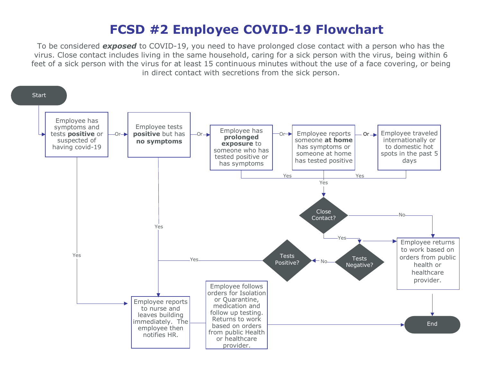## **FCSD #2 Employee COVID-19 Flowchart**

To be considered *exposed* to COVID-19, you need to have prolonged close contact with a person who has the virus. Close contact includes living in the same household, caring for a sick person with the virus, being within 6 feet of a sick person with the virus for at least 15 continuous minutes without the use of a face covering, or being in direct contact with secretions from the sick person.